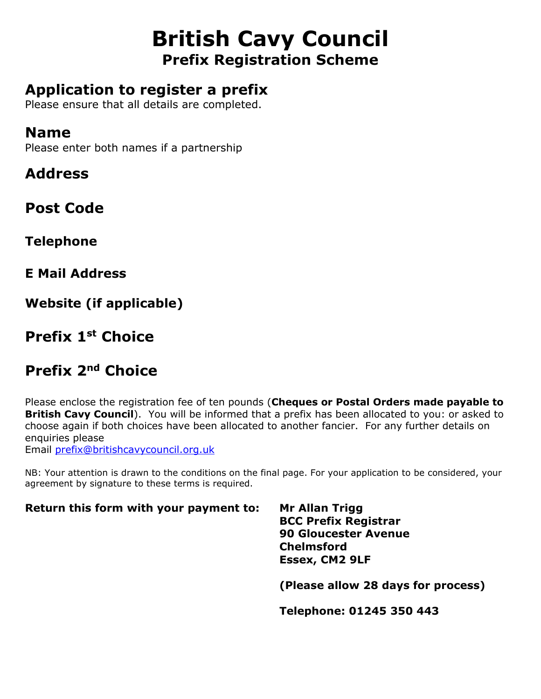# **British Cavy Council Prefix Registration Scheme**

### **Application to register a prefix**

Please ensure that all details are completed.

### **Name**

Please enter both names if a partnership

**Address**

**Post Code**

**Telephone**

**E Mail Address**

**Website (if applicable)**

### **Prefix 1st Choice**

## **Prefix 2nd Choice**

Please enclose the registration fee of ten pounds (**Cheques or Postal Orders made payable to British Cavy Council**). You will be informed that a prefix has been allocated to you: or asked to choose again if both choices have been allocated to another fancier. For any further details on enquiries please Email [prefix@britishcavycouncil.org.uk](mailto:prefix@britishcavycouncil.org.uk)

NB: Your attention is drawn to the conditions on the final page. For your application to be considered, your agreement by signature to these terms is required.

#### **Return this form with your payment to: Mr Allan Trigg**

**BCC Prefix Registrar 90 Gloucester Avenue Chelmsford Essex, CM2 9LF**

**(Please allow 28 days for process)**

**Telephone: 01245 350 443**